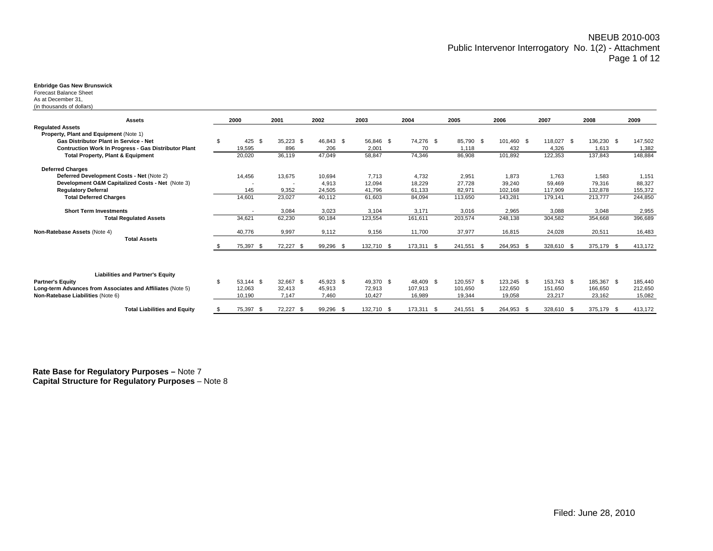### **Enbridge Gas New Brunswick**

Forecast Balance Sheet As at December 31,

(in thousands of dollars)

| <b>Assets</b>                                                                                                                            | 2000                        | 2001                | 2002                | 2003                | 2004                 | 2005                  | 2006                  | 2007                  | 2008                  | 2009               |
|------------------------------------------------------------------------------------------------------------------------------------------|-----------------------------|---------------------|---------------------|---------------------|----------------------|-----------------------|-----------------------|-----------------------|-----------------------|--------------------|
| <b>Requlated Assets</b>                                                                                                                  |                             |                     |                     |                     |                      |                       |                       |                       |                       |                    |
| Property, Plant and Equipment (Note 1)<br>Gas Distributor Plant in Service - Net<br>Contruction Work In Progress - Gas Distributor Plant | \$<br>425<br>- \$<br>19,595 | $35,223$ \$<br>896  | 46,843 \$<br>206    | 56,846 \$<br>2,001  | 74,276 \$<br>70      | 85,790 \$<br>1,118    | 101,460 \$<br>432     | 118,027 \$<br>4,326   | 136,230 \$<br>1,613   | 147,502<br>1,382   |
| <b>Total Property, Plant &amp; Equipment</b>                                                                                             | 20,020                      | 36,119              | 47,049              | 58,847              | 74,346               | 86,908                | 101,892               | 122,353               | 137,843               | 148,884            |
| <b>Deferred Charges</b><br>Deferred Development Costs - Net (Note 2)                                                                     | 14.456                      | 13,675              | 10.694              | 7.713               | 4.732                | 2,951                 | 1.873                 | 1.763                 | 1.583                 | 1,151              |
| Development O&M Capitalized Costs - Net (Note 3)<br><b>Regulatory Deferral</b>                                                           | 145                         | 9,352               | 4,913<br>24,505     | 12.094<br>41,796    | 18,229<br>61,133     | 27.728<br>82,971      | 39,240<br>102,168     | 59.469<br>117,909     | 79.316<br>132,878     | 88,327<br>155,372  |
| <b>Total Deferred Charges</b>                                                                                                            | 14,601                      | 23,027              | 40,112              | 61,603              | 84,094               | 113.650               | 143,281               | 179.141               | 213.777               | 244,850            |
| <b>Short Term Investments</b>                                                                                                            |                             | 3,084               | 3,023               | 3,104               | 3,171                | 3.016                 | 2,965                 | 3.088                 | 3,048                 | 2,955              |
| <b>Total Regulated Assets</b>                                                                                                            | 34,621                      | 62,230              | 90,184              | 123,554             | 161,611              | 203,574               | 248,138               | 304,582               | 354,668               | 396,689            |
| Non-Ratebase Assets (Note 4)                                                                                                             | 40,776                      | 9,997               | 9,112               | 9,156               | 11,700               | 37,977                | 16,815                | 24,028                | 20,511                | 16,483             |
| <b>Total Assets</b>                                                                                                                      | 75,397 \$                   | 72,227<br>- \$      | 99,296 \$           | 132,710 \$          | 173,311 \$           | 241,551 \$            | 264,953<br>- \$       | 328,610 \$            | 375,179 \$            | 413,172            |
| <b>Liabilities and Partner's Equity</b><br><b>Partner's Equity</b><br>Long-term Advances from Associates and Affiliates (Note 5)         | \$<br>53.144 \$<br>12,063   | 32,667 \$<br>32.413 | 45.923 \$<br>45,913 | 49,370 \$<br>72,913 | 48.409 \$<br>107.913 | 120,557 \$<br>101.650 | 123,245 \$<br>122,650 | 153,743 \$<br>151.650 | 185,367 \$<br>166.650 | 185,440<br>212,650 |
| Non-Ratebase Liabilities (Note 6)                                                                                                        | 10,190                      | 7,147               | 7,460               | 10,427              | 16,989               | 19,344                | 19,058                | 23,217                | 23,162                | 15,082             |
| <b>Total Liabilities and Equity</b>                                                                                                      | 75,397 \$                   | 72,227<br>- \$      | 99,296 \$           | 132.710 \$          | 173,311 \$           | 241,551 \$            | 264,953 \$            | 328,610 \$            | 375,179<br>- \$       | 413,172            |

**Rate Base for Regulatory Purposes –** Note 7 **Capital Structure for Regulatory Purposes** – Note 8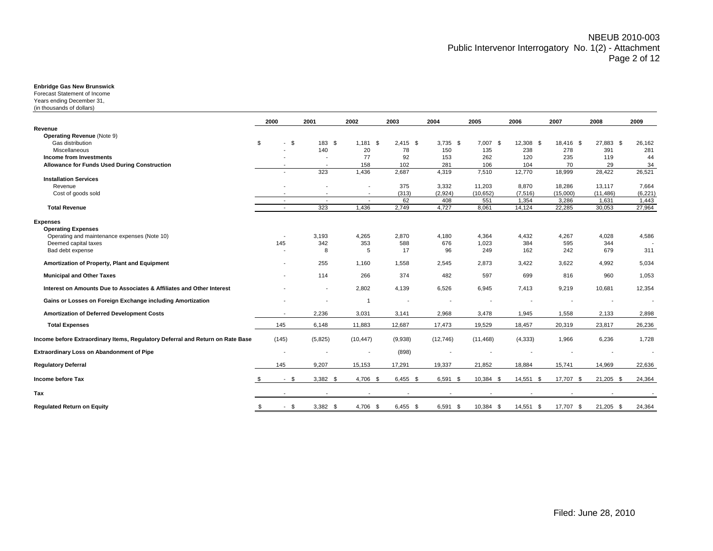### **Enbridge Gas New Brunswick**

Forecast Statement of IncomeYears ending December 31, (in thousands of dollars)

| <b>Operating Revenue (Note 9)</b><br>\$<br>\$<br>\$<br>7,007 \$<br>Gas distribution<br>183 \$<br>1,181<br>$2,415$ \$<br>$3,735$ \$<br>12,308 \$<br>18,416 \$<br>27,883 \$<br>26,162<br>140<br>78<br>150<br>135<br>238<br>391<br>Miscellaneous<br>20<br>278<br>281<br><b>Income from Investments</b><br>77<br>92<br>153<br>262<br>120<br>235<br>44<br>119<br>Allowance for Funds Used During Construction<br>158<br>102<br>281<br>106<br>104<br>70<br>29<br>34<br>$\overline{\phantom{a}}$<br>323<br>1,436<br>2,687<br>7,510<br>26,521<br>4,319<br>12,770<br>18,999<br>28,422<br>$\overline{\phantom{a}}$<br><b>Installation Services</b><br>375<br>3,332<br>11,203<br>18,286<br>7,664<br>Revenue<br>8,870<br>13,117<br>Cost of goods sold<br>(313)<br>(2,924)<br>(10, 652)<br>(7, 516)<br>(15,000)<br>(11, 486)<br>(6, 221)<br>$\overline{\phantom{a}}$<br>62<br>551<br>3,286<br>1,443<br>408<br>1,354<br>1,631<br>$\sim$<br>$\sim$<br>$\overline{\phantom{a}}$<br>4,727<br>8,061<br>27,964<br><b>Total Revenue</b><br>323<br>1,436<br>2,749<br>22,285<br>30,053<br>14,124<br>$\overline{\phantom{a}}$<br><b>Expenses</b><br><b>Operating Expenses</b><br>2,870<br>4,267<br>4,586<br>Operating and maintenance expenses (Note 10)<br>3,193<br>4,265<br>4,180<br>4,364<br>4,432<br>4,028<br>145<br>342<br>353<br>588<br>676<br>1,023<br>384<br>344<br>Deemed capital taxes<br>595<br>8<br>17<br>96<br>249<br>162<br>242<br>679<br>311<br>Bad debt expense<br>5<br>Amortization of Property, Plant and Equipment<br>255<br>1,160<br>1,558<br>2,873<br>3,422<br>3,622<br>4,992<br>5,034<br>2,545<br><b>Municipal and Other Taxes</b><br>374<br>597<br>1,053<br>114<br>266<br>482<br>699<br>816<br>960<br>Interest on Amounts Due to Associates & Affiliates and Other Interest<br>9,219<br>12,354<br>2,802<br>4,139<br>6,526<br>6,945<br>7,413<br>10,681<br>$\overline{\phantom{a}}$<br>Gains or Losses on Foreign Exchange including Amortization<br>$\overline{1}$<br>$\overline{\phantom{a}}$<br>$\overline{\phantom{a}}$<br>$\overline{\phantom{a}}$<br>3,478<br>Amortization of Deferred Development Costs<br>2,236<br>3,031<br>3,141<br>2,968<br>1,945<br>1,558<br>2,133<br>2,898<br><b>Total Expenses</b><br>145<br>6,148<br>11,883<br>12,687<br>17,473<br>19,529<br>18,457<br>20,319<br>23,817<br>26,236<br>(145)<br>1,728<br>(5,825)<br>(10, 447)<br>(9,938)<br>(12,746)<br>(11, 468)<br>(4, 333)<br>1,966<br>6,236<br>(898)<br>145<br>9,207<br>15,153<br>19,337<br>21,852<br>17,291<br>18,884<br>15,741<br>14,969<br>22,636<br>$-$ \$<br>17,707 \$<br>$3,382$ \$<br>4,706 \$<br>$6,455$ \$<br>6,591<br>10,384 \$<br>14,551 \$<br>21,205 \$<br>24,364<br>- \$<br>$\overline{\phantom{a}}$<br>$\overline{\phantom{a}}$<br>$\blacksquare$ |                                                                                | 2000         | 2001       | 2002     | 2003       | 2004          | 2005      | 2006      | 2007      | 2008        | 2009   |
|-----------------------------------------------------------------------------------------------------------------------------------------------------------------------------------------------------------------------------------------------------------------------------------------------------------------------------------------------------------------------------------------------------------------------------------------------------------------------------------------------------------------------------------------------------------------------------------------------------------------------------------------------------------------------------------------------------------------------------------------------------------------------------------------------------------------------------------------------------------------------------------------------------------------------------------------------------------------------------------------------------------------------------------------------------------------------------------------------------------------------------------------------------------------------------------------------------------------------------------------------------------------------------------------------------------------------------------------------------------------------------------------------------------------------------------------------------------------------------------------------------------------------------------------------------------------------------------------------------------------------------------------------------------------------------------------------------------------------------------------------------------------------------------------------------------------------------------------------------------------------------------------------------------------------------------------------------------------------------------------------------------------------------------------------------------------------------------------------------------------------------------------------------------------------------------------------------------------------------------------------------------------------------------------------------------------------------------------------------------------------------------------------------------------------------------------------------------------------------------------------------------------------------------------------------------------------------------------------------------------------------------------------------------------------------------------------------------------------------------------------|--------------------------------------------------------------------------------|--------------|------------|----------|------------|---------------|-----------|-----------|-----------|-------------|--------|
|                                                                                                                                                                                                                                                                                                                                                                                                                                                                                                                                                                                                                                                                                                                                                                                                                                                                                                                                                                                                                                                                                                                                                                                                                                                                                                                                                                                                                                                                                                                                                                                                                                                                                                                                                                                                                                                                                                                                                                                                                                                                                                                                                                                                                                                                                                                                                                                                                                                                                                                                                                                                                                                                                                                                               | Revenue                                                                        |              |            |          |            |               |           |           |           |             |        |
|                                                                                                                                                                                                                                                                                                                                                                                                                                                                                                                                                                                                                                                                                                                                                                                                                                                                                                                                                                                                                                                                                                                                                                                                                                                                                                                                                                                                                                                                                                                                                                                                                                                                                                                                                                                                                                                                                                                                                                                                                                                                                                                                                                                                                                                                                                                                                                                                                                                                                                                                                                                                                                                                                                                                               |                                                                                |              |            |          |            |               |           |           |           |             |        |
|                                                                                                                                                                                                                                                                                                                                                                                                                                                                                                                                                                                                                                                                                                                                                                                                                                                                                                                                                                                                                                                                                                                                                                                                                                                                                                                                                                                                                                                                                                                                                                                                                                                                                                                                                                                                                                                                                                                                                                                                                                                                                                                                                                                                                                                                                                                                                                                                                                                                                                                                                                                                                                                                                                                                               |                                                                                |              |            |          |            |               |           |           |           |             |        |
|                                                                                                                                                                                                                                                                                                                                                                                                                                                                                                                                                                                                                                                                                                                                                                                                                                                                                                                                                                                                                                                                                                                                                                                                                                                                                                                                                                                                                                                                                                                                                                                                                                                                                                                                                                                                                                                                                                                                                                                                                                                                                                                                                                                                                                                                                                                                                                                                                                                                                                                                                                                                                                                                                                                                               |                                                                                |              |            |          |            |               |           |           |           |             |        |
|                                                                                                                                                                                                                                                                                                                                                                                                                                                                                                                                                                                                                                                                                                                                                                                                                                                                                                                                                                                                                                                                                                                                                                                                                                                                                                                                                                                                                                                                                                                                                                                                                                                                                                                                                                                                                                                                                                                                                                                                                                                                                                                                                                                                                                                                                                                                                                                                                                                                                                                                                                                                                                                                                                                                               |                                                                                |              |            |          |            |               |           |           |           |             |        |
|                                                                                                                                                                                                                                                                                                                                                                                                                                                                                                                                                                                                                                                                                                                                                                                                                                                                                                                                                                                                                                                                                                                                                                                                                                                                                                                                                                                                                                                                                                                                                                                                                                                                                                                                                                                                                                                                                                                                                                                                                                                                                                                                                                                                                                                                                                                                                                                                                                                                                                                                                                                                                                                                                                                                               |                                                                                |              |            |          |            |               |           |           |           |             |        |
|                                                                                                                                                                                                                                                                                                                                                                                                                                                                                                                                                                                                                                                                                                                                                                                                                                                                                                                                                                                                                                                                                                                                                                                                                                                                                                                                                                                                                                                                                                                                                                                                                                                                                                                                                                                                                                                                                                                                                                                                                                                                                                                                                                                                                                                                                                                                                                                                                                                                                                                                                                                                                                                                                                                                               |                                                                                |              |            |          |            |               |           |           |           |             |        |
|                                                                                                                                                                                                                                                                                                                                                                                                                                                                                                                                                                                                                                                                                                                                                                                                                                                                                                                                                                                                                                                                                                                                                                                                                                                                                                                                                                                                                                                                                                                                                                                                                                                                                                                                                                                                                                                                                                                                                                                                                                                                                                                                                                                                                                                                                                                                                                                                                                                                                                                                                                                                                                                                                                                                               |                                                                                |              |            |          |            |               |           |           |           |             |        |
|                                                                                                                                                                                                                                                                                                                                                                                                                                                                                                                                                                                                                                                                                                                                                                                                                                                                                                                                                                                                                                                                                                                                                                                                                                                                                                                                                                                                                                                                                                                                                                                                                                                                                                                                                                                                                                                                                                                                                                                                                                                                                                                                                                                                                                                                                                                                                                                                                                                                                                                                                                                                                                                                                                                                               |                                                                                |              |            |          |            |               |           |           |           |             |        |
|                                                                                                                                                                                                                                                                                                                                                                                                                                                                                                                                                                                                                                                                                                                                                                                                                                                                                                                                                                                                                                                                                                                                                                                                                                                                                                                                                                                                                                                                                                                                                                                                                                                                                                                                                                                                                                                                                                                                                                                                                                                                                                                                                                                                                                                                                                                                                                                                                                                                                                                                                                                                                                                                                                                                               |                                                                                |              |            |          |            |               |           |           |           |             |        |
|                                                                                                                                                                                                                                                                                                                                                                                                                                                                                                                                                                                                                                                                                                                                                                                                                                                                                                                                                                                                                                                                                                                                                                                                                                                                                                                                                                                                                                                                                                                                                                                                                                                                                                                                                                                                                                                                                                                                                                                                                                                                                                                                                                                                                                                                                                                                                                                                                                                                                                                                                                                                                                                                                                                                               |                                                                                |              |            |          |            |               |           |           |           |             |        |
|                                                                                                                                                                                                                                                                                                                                                                                                                                                                                                                                                                                                                                                                                                                                                                                                                                                                                                                                                                                                                                                                                                                                                                                                                                                                                                                                                                                                                                                                                                                                                                                                                                                                                                                                                                                                                                                                                                                                                                                                                                                                                                                                                                                                                                                                                                                                                                                                                                                                                                                                                                                                                                                                                                                                               |                                                                                |              |            |          |            |               |           |           |           |             |        |
|                                                                                                                                                                                                                                                                                                                                                                                                                                                                                                                                                                                                                                                                                                                                                                                                                                                                                                                                                                                                                                                                                                                                                                                                                                                                                                                                                                                                                                                                                                                                                                                                                                                                                                                                                                                                                                                                                                                                                                                                                                                                                                                                                                                                                                                                                                                                                                                                                                                                                                                                                                                                                                                                                                                                               |                                                                                |              |            |          |            |               |           |           |           |             |        |
|                                                                                                                                                                                                                                                                                                                                                                                                                                                                                                                                                                                                                                                                                                                                                                                                                                                                                                                                                                                                                                                                                                                                                                                                                                                                                                                                                                                                                                                                                                                                                                                                                                                                                                                                                                                                                                                                                                                                                                                                                                                                                                                                                                                                                                                                                                                                                                                                                                                                                                                                                                                                                                                                                                                                               |                                                                                |              |            |          |            |               |           |           |           |             |        |
|                                                                                                                                                                                                                                                                                                                                                                                                                                                                                                                                                                                                                                                                                                                                                                                                                                                                                                                                                                                                                                                                                                                                                                                                                                                                                                                                                                                                                                                                                                                                                                                                                                                                                                                                                                                                                                                                                                                                                                                                                                                                                                                                                                                                                                                                                                                                                                                                                                                                                                                                                                                                                                                                                                                                               |                                                                                |              |            |          |            |               |           |           |           |             |        |
|                                                                                                                                                                                                                                                                                                                                                                                                                                                                                                                                                                                                                                                                                                                                                                                                                                                                                                                                                                                                                                                                                                                                                                                                                                                                                                                                                                                                                                                                                                                                                                                                                                                                                                                                                                                                                                                                                                                                                                                                                                                                                                                                                                                                                                                                                                                                                                                                                                                                                                                                                                                                                                                                                                                                               |                                                                                |              |            |          |            |               |           |           |           |             |        |
|                                                                                                                                                                                                                                                                                                                                                                                                                                                                                                                                                                                                                                                                                                                                                                                                                                                                                                                                                                                                                                                                                                                                                                                                                                                                                                                                                                                                                                                                                                                                                                                                                                                                                                                                                                                                                                                                                                                                                                                                                                                                                                                                                                                                                                                                                                                                                                                                                                                                                                                                                                                                                                                                                                                                               |                                                                                |              |            |          |            |               |           |           |           |             |        |
|                                                                                                                                                                                                                                                                                                                                                                                                                                                                                                                                                                                                                                                                                                                                                                                                                                                                                                                                                                                                                                                                                                                                                                                                                                                                                                                                                                                                                                                                                                                                                                                                                                                                                                                                                                                                                                                                                                                                                                                                                                                                                                                                                                                                                                                                                                                                                                                                                                                                                                                                                                                                                                                                                                                                               |                                                                                |              |            |          |            |               |           |           |           |             |        |
|                                                                                                                                                                                                                                                                                                                                                                                                                                                                                                                                                                                                                                                                                                                                                                                                                                                                                                                                                                                                                                                                                                                                                                                                                                                                                                                                                                                                                                                                                                                                                                                                                                                                                                                                                                                                                                                                                                                                                                                                                                                                                                                                                                                                                                                                                                                                                                                                                                                                                                                                                                                                                                                                                                                                               |                                                                                |              |            |          |            |               |           |           |           |             |        |
|                                                                                                                                                                                                                                                                                                                                                                                                                                                                                                                                                                                                                                                                                                                                                                                                                                                                                                                                                                                                                                                                                                                                                                                                                                                                                                                                                                                                                                                                                                                                                                                                                                                                                                                                                                                                                                                                                                                                                                                                                                                                                                                                                                                                                                                                                                                                                                                                                                                                                                                                                                                                                                                                                                                                               |                                                                                |              |            |          |            |               |           |           |           |             |        |
|                                                                                                                                                                                                                                                                                                                                                                                                                                                                                                                                                                                                                                                                                                                                                                                                                                                                                                                                                                                                                                                                                                                                                                                                                                                                                                                                                                                                                                                                                                                                                                                                                                                                                                                                                                                                                                                                                                                                                                                                                                                                                                                                                                                                                                                                                                                                                                                                                                                                                                                                                                                                                                                                                                                                               |                                                                                |              |            |          |            |               |           |           |           |             |        |
|                                                                                                                                                                                                                                                                                                                                                                                                                                                                                                                                                                                                                                                                                                                                                                                                                                                                                                                                                                                                                                                                                                                                                                                                                                                                                                                                                                                                                                                                                                                                                                                                                                                                                                                                                                                                                                                                                                                                                                                                                                                                                                                                                                                                                                                                                                                                                                                                                                                                                                                                                                                                                                                                                                                                               |                                                                                |              |            |          |            |               |           |           |           |             |        |
|                                                                                                                                                                                                                                                                                                                                                                                                                                                                                                                                                                                                                                                                                                                                                                                                                                                                                                                                                                                                                                                                                                                                                                                                                                                                                                                                                                                                                                                                                                                                                                                                                                                                                                                                                                                                                                                                                                                                                                                                                                                                                                                                                                                                                                                                                                                                                                                                                                                                                                                                                                                                                                                                                                                                               |                                                                                |              |            |          |            |               |           |           |           |             |        |
|                                                                                                                                                                                                                                                                                                                                                                                                                                                                                                                                                                                                                                                                                                                                                                                                                                                                                                                                                                                                                                                                                                                                                                                                                                                                                                                                                                                                                                                                                                                                                                                                                                                                                                                                                                                                                                                                                                                                                                                                                                                                                                                                                                                                                                                                                                                                                                                                                                                                                                                                                                                                                                                                                                                                               |                                                                                |              |            |          |            |               |           |           |           |             |        |
|                                                                                                                                                                                                                                                                                                                                                                                                                                                                                                                                                                                                                                                                                                                                                                                                                                                                                                                                                                                                                                                                                                                                                                                                                                                                                                                                                                                                                                                                                                                                                                                                                                                                                                                                                                                                                                                                                                                                                                                                                                                                                                                                                                                                                                                                                                                                                                                                                                                                                                                                                                                                                                                                                                                                               | Income before Extraordinary Items, Regulatory Deferral and Return on Rate Base |              |            |          |            |               |           |           |           |             |        |
|                                                                                                                                                                                                                                                                                                                                                                                                                                                                                                                                                                                                                                                                                                                                                                                                                                                                                                                                                                                                                                                                                                                                                                                                                                                                                                                                                                                                                                                                                                                                                                                                                                                                                                                                                                                                                                                                                                                                                                                                                                                                                                                                                                                                                                                                                                                                                                                                                                                                                                                                                                                                                                                                                                                                               | Extraordinary Loss on Abandonment of Pipe                                      |              |            |          |            |               |           |           |           |             |        |
|                                                                                                                                                                                                                                                                                                                                                                                                                                                                                                                                                                                                                                                                                                                                                                                                                                                                                                                                                                                                                                                                                                                                                                                                                                                                                                                                                                                                                                                                                                                                                                                                                                                                                                                                                                                                                                                                                                                                                                                                                                                                                                                                                                                                                                                                                                                                                                                                                                                                                                                                                                                                                                                                                                                                               | <b>Regulatory Deferral</b>                                                     |              |            |          |            |               |           |           |           |             |        |
|                                                                                                                                                                                                                                                                                                                                                                                                                                                                                                                                                                                                                                                                                                                                                                                                                                                                                                                                                                                                                                                                                                                                                                                                                                                                                                                                                                                                                                                                                                                                                                                                                                                                                                                                                                                                                                                                                                                                                                                                                                                                                                                                                                                                                                                                                                                                                                                                                                                                                                                                                                                                                                                                                                                                               | Income before Tax                                                              |              |            |          |            |               |           |           |           |             |        |
|                                                                                                                                                                                                                                                                                                                                                                                                                                                                                                                                                                                                                                                                                                                                                                                                                                                                                                                                                                                                                                                                                                                                                                                                                                                                                                                                                                                                                                                                                                                                                                                                                                                                                                                                                                                                                                                                                                                                                                                                                                                                                                                                                                                                                                                                                                                                                                                                                                                                                                                                                                                                                                                                                                                                               | Tax                                                                            |              |            |          |            |               |           |           |           |             |        |
|                                                                                                                                                                                                                                                                                                                                                                                                                                                                                                                                                                                                                                                                                                                                                                                                                                                                                                                                                                                                                                                                                                                                                                                                                                                                                                                                                                                                                                                                                                                                                                                                                                                                                                                                                                                                                                                                                                                                                                                                                                                                                                                                                                                                                                                                                                                                                                                                                                                                                                                                                                                                                                                                                                                                               | <b>Regulated Return on Equity</b>                                              | $-$ \$<br>\$ | $3,382$ \$ | 4,706 \$ | $6,455$ \$ | 6,591<br>- \$ | 10,384 \$ | 14,551 \$ | 17,707 \$ | $21,205$ \$ | 24,364 |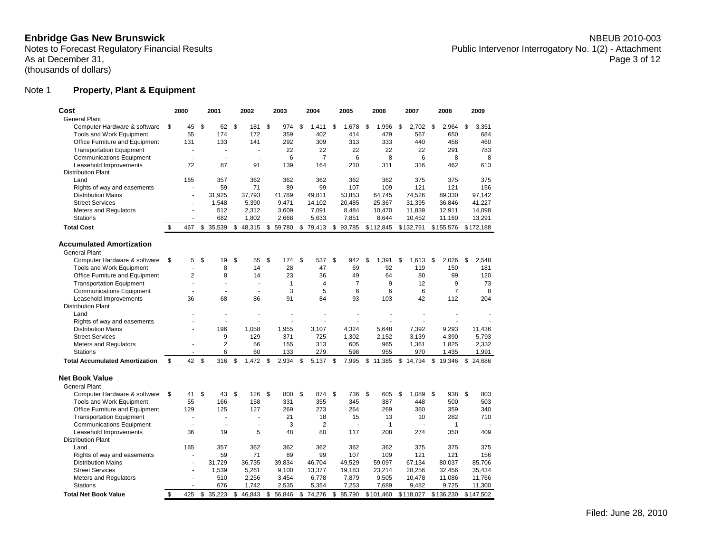Enbridge Gas New Brunswick **NBEUB 2010-003**<br>Notes to Forecast Regulatory Financial Results **Notes** to Forecast Regulatory Financial Results Public Intervenor Interrogatory No. 1(2) - Attachment<br>Page 3 of 12

# Note 1 **Property, Plant & Equipment**

| Cost                                  | 2000           | 2001           |              | 2002     |                | 2003         | 2004           | 2005           | 2006         | 2007        | 2008         | 2009        |
|---------------------------------------|----------------|----------------|--------------|----------|----------------|--------------|----------------|----------------|--------------|-------------|--------------|-------------|
| <b>General Plant</b>                  |                |                |              |          |                |              |                |                |              |             |              |             |
| Computer Hardware & software          | \$<br>45       | \$<br>62       | $\mathbf{s}$ | 181      | $\mathfrak{s}$ | 974          | \$<br>1.411    | \$<br>1.678    | \$<br>1,996  | \$<br>2.702 | \$<br>2.964  | \$<br>3.351 |
| Tools and Work Equipment              | 55             | 174            |              | 172      |                | 359          | 402            | 414            | 479          | 567         | 650          | 684         |
| Office Furniture and Equipment        | 131            | 133            |              | 141      |                | 292          | 309            | 313            | 333          | 440         | 458          | 460         |
| <b>Transportation Equipment</b>       | J.             | J.             |              | L.       |                | 22           | 22             | 22             | 22           | 22          | 291          | 783         |
| <b>Communications Equipment</b>       | ä,             | ä,             |              | ä,       |                | 6            | $\overline{7}$ | 6              | 8            | 6           | 8            | 8           |
| Leasehold Improvements                | 72             | 87             |              | 91       |                | 139          | 164            | 210            | 311          | 316         | 462          | 613         |
| <b>Distribution Plant</b>             |                |                |              |          |                |              |                |                |              |             |              |             |
| Land                                  | 165            | 357            |              | 362      |                | 362          | 362            | 362            | 362          | 375         | 375          | 375         |
| Rights of way and easements           |                | 59             |              | 71       |                | 89           | 99             | 107            | 109          | 121         | 121          | 156         |
| <b>Distribution Mains</b>             |                | 31.925         |              | 37.793   |                | 41.789       | 49.811         | 53,853         | 64,745       | 74,526      | 89,330       | 97.142      |
| <b>Street Services</b>                |                | 1,548          |              | 5,390    |                | 9,471        | 14,102         | 20,485         | 25,367       | 31,395      | 36,846       | 41,227      |
| <b>Meters and Regulators</b>          | ÷              | 512            |              | 2,312    |                | 3,609        | 7,091          | 8,484          | 10,470       | 11,839      | 12,911       | 14,098      |
| <b>Stations</b>                       |                | 682            |              | 1,802    |                | 2,668        | 5,633          | 7,851          | 8,644        | 10,452      | 11,160       | 13,291      |
|                                       |                |                |              |          |                |              |                |                |              |             |              |             |
| <b>Total Cost</b>                     | \$<br>467      | \$<br>35,539   | \$           | 48,315   | \$             | 59,780       | \$79,413       | \$93,785       | \$112,845    | \$132,761   | \$155,576    | \$172,188   |
| <b>Accumulated Amortization</b>       |                |                |              |          |                |              |                |                |              |             |              |             |
| <b>General Plant</b>                  |                |                |              |          |                |              |                |                |              |             |              |             |
| Computer Hardware & software          | \$<br>5        | \$<br>19       | \$           | 55       | \$             | 174          | \$<br>537      | \$<br>942      | \$<br>1,391  | \$<br>1,613 | \$<br>2,026  | \$<br>2,548 |
| Tools and Work Equipment              | J.             | 8              |              | 14       |                | 28           | 47             | 69             | 92           | 119         | 150          | 181         |
| Office Furniture and Equipment        | $\overline{2}$ | 8              |              | 14       |                | 23           | 36             | 49             | 64           | 80          | 99           | 120         |
| <b>Transportation Equipment</b>       |                | ä,             |              | ×.       |                | $\mathbf{1}$ | 4              | $\overline{7}$ | 9            | 12          | 9            | 73          |
| <b>Communications Equipment</b>       |                |                |              | J.       |                | 3            | 5              | 6              | 6            | 6           | 7            | 8           |
| Leasehold Improvements                | 36             | 68             |              | 86       |                | 91           | 84             | 93             | 103          | 42          | 112          | 204         |
| <b>Distribution Plant</b>             |                |                |              |          |                |              |                |                |              |             |              |             |
| Land                                  |                |                |              |          |                |              |                |                |              |             |              |             |
| Rights of way and easements           |                | ä,             |              |          |                |              |                |                |              |             |              |             |
| <b>Distribution Mains</b>             |                | 196            |              | 1,058    |                | 1,955        | 3,107          | 4,324          | 5,648        | 7,392       | 9,293        | 11,436      |
| <b>Street Services</b>                |                | 9              |              | 129      |                | 371          | 725            | 1,302          | 2,152        | 3,139       | 4,390        | 5,793       |
| <b>Meters and Regulators</b>          |                | $\overline{2}$ |              | 56       |                | 155          | 313            | 605            | 965          | 1,361       | 1,825        | 2,332       |
| <b>Stations</b>                       |                | 6              |              | 60       |                | 133          | 279            | 598            | 955          | 970         | 1,435        | 1,991       |
| <b>Total Accumulated Amortization</b> | \$<br>42       | \$<br>316      | \$           | 1.472    | \$             | 2,934        | \$<br>5,137    | \$<br>7,995    | \$11,385     | \$14.734    | \$19,346     | \$24.686    |
|                                       |                |                |              |          |                |              |                |                |              |             |              |             |
| <b>Net Book Value</b>                 |                |                |              |          |                |              |                |                |              |             |              |             |
| <b>General Plant</b>                  |                |                |              |          |                |              |                |                |              |             |              |             |
| Computer Hardware & software          | \$<br>41       | \$<br>43       | \$           | 126      | \$             | 800          | \$<br>874      | \$<br>736      | \$<br>605    | \$<br>1,089 | \$<br>938    | \$<br>803   |
| <b>Tools and Work Equipment</b>       | 55             | 166            |              | 158      |                | 331          | 355            | 345            | 387          | 448         | 500          | 503         |
| Office Furniture and Equipment        | 129            | 125            |              | 127      |                | 269          | 273            | 264            | 269          | 360         | 359          | 340         |
| <b>Transportation Equipment</b>       |                |                |              | ä,       |                | 21           | 18             | 15             | 13           | 10          | 282          | 710         |
| <b>Communications Equipment</b>       |                | ä,             |              | ä,       |                | 3            | $\overline{2}$ |                | $\mathbf{1}$ |             | $\mathbf{1}$ |             |
| Leasehold Improvements                | 36             | 19             |              | 5        |                | 48           | 80             | 117            | 208          | 274         | 350          | 409         |
| <b>Distribution Plant</b>             |                |                |              |          |                |              |                |                |              |             |              |             |
|                                       |                |                |              |          |                |              |                |                |              |             |              |             |
| Land                                  | 165<br>ä       | 357            |              | 362      |                | 362<br>89    | 362<br>99      | 362<br>107     | 362          | 375<br>121  | 375          | 375<br>156  |
| Rights of way and easements           |                | 59             |              | 71       |                |              |                |                | 109          |             | 121          | 85.706      |
| <b>Distribution Mains</b>             |                | 31,729         |              | 36,735   |                | 39,834       | 46,704         | 49.529         | 59,097       | 67,134      | 80,037       |             |
| <b>Street Services</b>                |                | 1,539          |              | 5,261    |                | 9,100        | 13,377         | 19,183         | 23,214       | 28,256      | 32,456       | 35,434      |
| Meters and Regulators                 |                | 510            |              | 2,256    |                | 3,454        | 6,778          | 7,879          | 9,505        | 10,478      | 11,086       | 11,766      |
| <b>Stations</b>                       |                | 676            |              | 1,742    |                | 2,535        | 5,354          | 7,253          | 7,689        | 9,482       | 9,725        | 11,300      |
| <b>Total Net Book Value</b>           | \$<br>425      | \$35,223       |              | \$46,843 | \$             | 56,846       | \$74,276       | \$85,790       | \$101,460    | \$118,027   | \$136,230    | \$147,502   |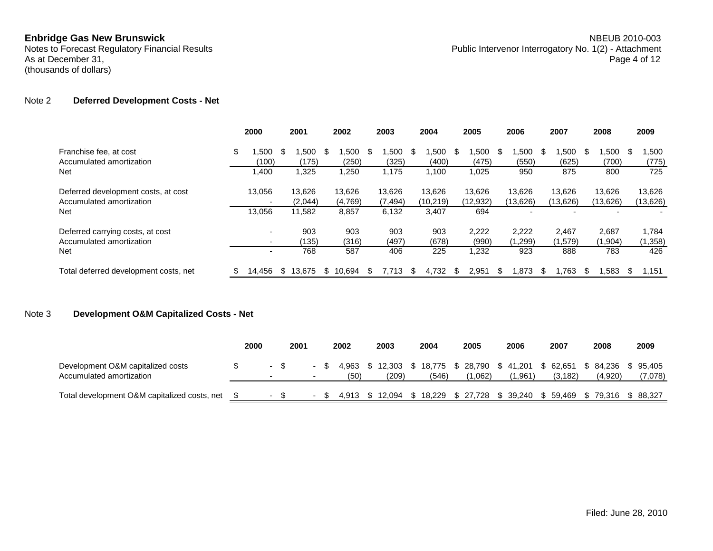### Note 2 **Deferred Development Costs - Net**

|                                                                 | 2000                           |     | 2001              |     | 2002              |     | 2003               |      | 2004                |     | 2005                |    | 2006               |     | 2007               |      | 2008               |    | 2009                |
|-----------------------------------------------------------------|--------------------------------|-----|-------------------|-----|-------------------|-----|--------------------|------|---------------------|-----|---------------------|----|--------------------|-----|--------------------|------|--------------------|----|---------------------|
| Franchise fee, at cost<br>Accumulated amortization              | \$<br>.500<br>(100)            | Ж,  | .500<br>(175)     | \$. | .500<br>(250)     | -SS | .500<br>(325)      | - \$ | .500<br>(400)       | - S | .500<br>(475)       | S. | .500<br>(550)      | -SS | .500<br>(625)      | - \$ | .500<br>(700)      | Ж. | 500. ا<br>(775)     |
| <b>Net</b>                                                      | ,400                           |     | 1,325             |     | 1,250             |     | 1.175              |      | 1,100               |     | 1,025               |    | 950                |     | 875                |      | 800                |    | 725                 |
| Deferred development costs, at cost<br>Accumulated amortization | 13,056<br>-                    |     | 13.626<br>(2,044) |     | 13,626<br>(4,769) |     | 13,626<br>(7, 494) |      | 13.626<br>(10, 219) |     | 13,626<br>(12, 932) |    | 13.626<br>(13,626) |     | 13.626<br>(13,626) |      | 13,626<br>(13,626) |    | 13,626<br>(13, 626) |
| <b>Net</b>                                                      | 13,056                         |     | 11,582            |     | 8,857             |     | 6,132              |      | 3,407               |     | 694                 |    |                    |     |                    |      |                    |    |                     |
| Deferred carrying costs, at cost<br>Accumulated amortization    | ۰.<br>$\overline{\phantom{a}}$ |     | 903<br>(135)      |     | 903<br>(316)      |     | 903<br>(497)       |      | 903<br>(678)        |     | 2,222<br>(990)      |    | 2,222<br>(1,299)   |     | 2.467<br>(1,579)   |      | 2,687<br>(1,904)   |    | 1,784<br>(1,358)    |
| <b>Net</b>                                                      | ۰.                             |     | 768               |     | 587               |     | 406                |      | 225                 |     | 1,232               |    | 923                |     | 888                |      | 783                |    | 426                 |
| Total deferred development costs, net                           | 14.456                         | - S | 13.675            | S.  | 10.694            | \$. | 7.713              | -\$  | 4.732               | \$. | 2.951               |    | 1.873              | \$. | .763               | -\$  | .583               |    | .151                |

# Note 3 **Development O&M Capitalized Costs - Net**

|                                                               | 2000 | 2001                     |  | 2002     | 2003   | 2004     | 2005        | 2006   | 2007                                                                                    | 2008     | 2009      |
|---------------------------------------------------------------|------|--------------------------|--|----------|--------|----------|-------------|--------|-----------------------------------------------------------------------------------------|----------|-----------|
| Development O&M capitalized costs<br>Accumulated amortization |      | $\overline{\phantom{a}}$ |  | (50)     | (209)  | (546)    | (062.،      | .961)  | 4,963 \$ 12,303 \$ 18,775 \$ 28,790 \$ 41,201 \$ 62,651 \$ 84,236 \$ 95,405<br>(3, 182) | (4.920)  | (7,078)   |
| Total development O&M capitalized costs, net                  |      |                          |  | 4.913 \$ | 12.094 | \$18,229 | \$27,728 \$ | 39.240 | \$59.469                                                                                | \$79.316 | \$ 88.327 |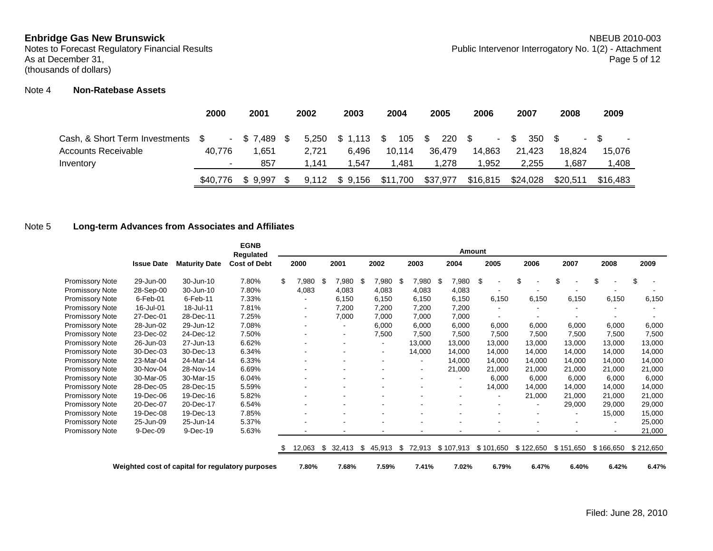# Note 4 **Non-Ratebase Assets**

|                                   | 2000     | 2001           | 2002  | 2003    | 2004               | 2005     | 2006     | 2007      | 2008     | 2009                     |
|-----------------------------------|----------|----------------|-------|---------|--------------------|----------|----------|-----------|----------|--------------------------|
| Cash, & Short Term Investments \$ |          | $-$ \$7,489 \$ | 5.250 | \$1,113 | 105 \$<br><b>S</b> | 220 \$   | $\sim$   | 350<br>S. |          | $\overline{\phantom{a}}$ |
| Accounts Receivable               | 40.776   | 1.651          | 2.721 | 6.496   | 10.114             | 36.479   | 14.863   | 21.423    | 18.824   | 15.076                   |
| Inventory                         |          | 857            | 1.141 | 1.547   | 1.481              | 1.278    | 1.952    | 2.255     | ∣.687    | 1,408                    |
|                                   | \$40,776 | \$9.997        | 9.112 | \$9,156 | \$11,700           | \$37,977 | \$16,815 | \$24,028  | \$20,511 | \$16,483                 |

# Note 5 **Long-term Advances from Associates and Affiliates**

|                 |                   |                                                  | <b>EGNB</b><br>Regulated |    |                          |                |                              |      |                          | <b>Amount</b> |           |           |           |           |           |
|-----------------|-------------------|--------------------------------------------------|--------------------------|----|--------------------------|----------------|------------------------------|------|--------------------------|---------------|-----------|-----------|-----------|-----------|-----------|
|                 | <b>Issue Date</b> | <b>Maturity Date</b>                             | <b>Cost of Debt</b>      |    | 2000                     | 2001           | 2002                         |      | 2003                     | 2004          | 2005      | 2006      | 2007      | 2008      | 2009      |
| Promissory Note | 29-Jun-00         | 30-Jun-10                                        | 7.80%                    | \$ | 7,980                    | \$<br>7,980 \$ | 7,980                        | - \$ | 7,980                    | \$<br>7,980   | \$        | \$        | \$        | \$        | \$        |
| Promissory Note | 28-Sep-00         | 30-Jun-10                                        | 7.80%                    |    | 4,083                    | 4,083          | 4,083                        |      | 4,083                    | 4,083         |           |           |           |           |           |
| Promissory Note | 6-Feb-01          | 6-Feb-11                                         | 7.33%                    |    |                          | 6,150          | 6,150                        |      | 6,150                    | 6,150         | 6,150     | 6,150     | 6,150     | 6,150     | 6,150     |
| Promissory Note | 16-Jul-01         | 18-Jul-11                                        | 7.81%                    |    |                          | 7,200          | 7,200                        |      | 7,200                    | 7,200         |           |           |           |           |           |
| Promissory Note | 27-Dec-01         | 28-Dec-11                                        | 7.25%                    |    | $\overline{\phantom{a}}$ | 7,000          | 7,000                        |      | 7,000                    | 7,000         |           |           |           |           |           |
| Promissory Note | 28-Jun-02         | 29-Jun-12                                        | 7.08%                    |    |                          |                | 6,000                        |      | 6,000                    | 6,000         | 6,000     | 6,000     | 6,000     | 6,000     | 6,000     |
| Promissory Note | 23-Dec-02         | 24-Dec-12                                        | 7.50%                    |    |                          |                | 7,500                        |      | 7,500                    | 7,500         | 7,500     | 7,500     | 7,500     | 7,500     | 7,500     |
| Promissory Note | 26-Jun-03         | 27-Jun-13                                        | 6.62%                    |    |                          |                | $\blacksquare$               |      | 13,000                   | 13,000        | 13,000    | 13,000    | 13,000    | 13.000    | 13,000    |
| Promissory Note | 30-Dec-03         | 30-Dec-13                                        | 6.34%                    |    |                          |                | $\qquad \qquad \blacksquare$ |      | 14,000                   | 14,000        | 14,000    | 14,000    | 14,000    | 14,000    | 14,000    |
| Promissory Note | 23-Mar-04         | 24-Mar-14                                        | 6.33%                    |    |                          |                | ٠                            |      |                          | 14,000        | 14,000    | 14,000    | 14,000    | 14,000    | 14,000    |
| Promissory Note | 30-Nov-04         | 28-Nov-14                                        | 6.69%                    |    |                          |                |                              |      |                          | 21,000        | 21,000    | 21,000    | 21,000    | 21,000    | 21,000    |
| Promissory Note | 30-Mar-05         | 30-Mar-15                                        | 6.04%                    |    |                          |                |                              |      | $\overline{\phantom{a}}$ |               | 6,000     | 6,000     | 6,000     | 6,000     | 6,000     |
| Promissory Note | 28-Dec-05         | 28-Dec-15                                        | 5.59%                    |    |                          |                |                              |      |                          |               | 14,000    | 14,000    | 14,000    | 14,000    | 14,000    |
| Promissory Note | 19-Dec-06         | 19-Dec-16                                        | 5.82%                    |    |                          |                |                              |      |                          |               |           | 21,000    | 21,000    | 21,000    | 21,000    |
| Promissory Note | 20-Dec-07         | 20-Dec-17                                        | 6.54%                    |    |                          |                |                              |      |                          |               |           |           | 29,000    | 29,000    | 29,000    |
| Promissory Note | 19-Dec-08         | 19-Dec-13                                        | 7.85%                    |    |                          |                |                              |      |                          |               |           |           |           | 15,000    | 15,000    |
| Promissory Note | 25-Jun-09         | 25-Jun-14                                        | 5.37%                    |    |                          |                |                              |      |                          |               |           |           |           |           | 25,000    |
| Promissory Note | 9-Dec-09          | 9-Dec-19                                         | 5.63%                    |    |                          |                | ٠                            |      |                          |               |           |           |           | $\sim$    | 21,000    |
|                 |                   |                                                  |                          | S  | 12,063                   | \$<br>32,413   | \$<br>45,913                 |      | \$72,913                 | \$107,913     | \$101,650 | \$122,650 | \$151,650 | \$166,650 | \$212,650 |
|                 |                   | Weighted cost of capital for regulatory purposes |                          |    | 7.80%                    | 7.68%          | 7.59%                        |      | 7.41%                    | 7.02%         | 6.79%     | 6.47%     | 6.40%     | 6.42%     | 6.47%     |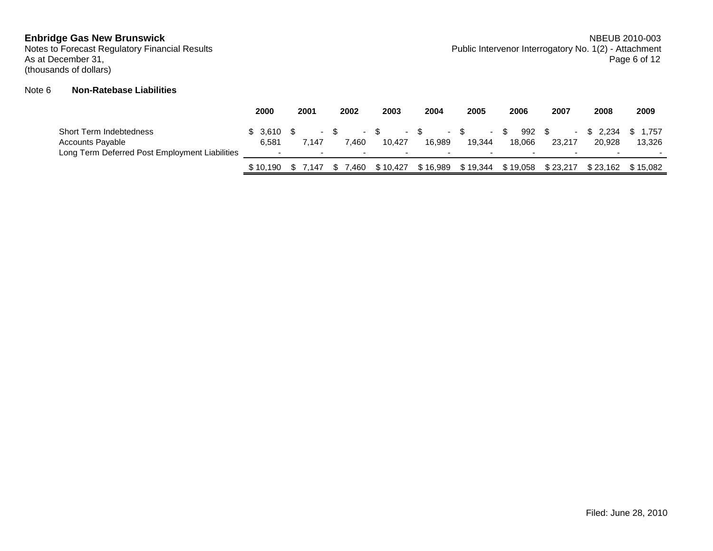(thousands of dollars)

# Note 6 **Non-Ratebase Liabilities**

|                                                                                                      | 2000             | 2001            | 2002  | 2003             | 2004                               | 2005                               | 2006                                              | 2007             | 2008               | 2009                 |
|------------------------------------------------------------------------------------------------------|------------------|-----------------|-------|------------------|------------------------------------|------------------------------------|---------------------------------------------------|------------------|--------------------|----------------------|
| Short Term Indebtedness<br><b>Accounts Payable</b><br>Long Term Deferred Post Employment Liabilities | \$3.610<br>6,581 | 7.147<br>$\sim$ | 460.' | $\sim$<br>10.427 | 16.989<br>$\overline{\phantom{a}}$ | - \$<br>$\sim$<br>19.344<br>$\sim$ | 992<br>- SS<br>18.066<br>$\overline{\phantom{0}}$ | 23.217<br>$\sim$ | \$ 2.234<br>20.928 | 1.757<br>13,326<br>- |
|                                                                                                      | \$10.190         | .147            | .460  | \$10.427         | \$16.989                           | \$19.344                           | \$19,058                                          | \$23.217         | \$23.162           | \$15.082             |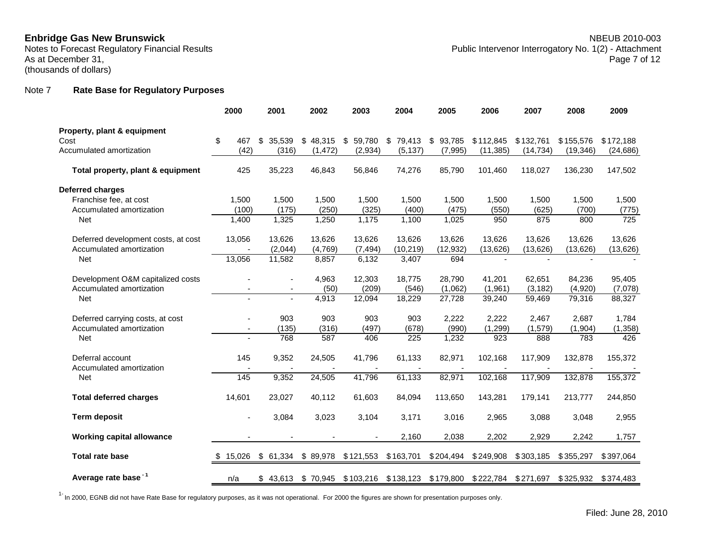# Note 7 **Rate Base for Regulatory Purposes**

|                                     | 2000                     | 2001           | 2002     | 2003         | 2004         | 2005                          | 2006      | 2007      | 2008      | 2009      |
|-------------------------------------|--------------------------|----------------|----------|--------------|--------------|-------------------------------|-----------|-----------|-----------|-----------|
| Property, plant & equipment         |                          |                |          |              |              |                               |           |           |           |           |
| Cost                                | \$<br>467                | \$<br>35,539   | \$48,315 | \$<br>59,780 | \$<br>79,413 | \$93,785                      | \$112,845 | \$132,761 | \$155,576 | \$172,188 |
| Accumulated amortization            | (42)                     | (316)          | (1, 472) | (2,934)      | (5, 137)     | (7,995)                       | (11, 385) | (14, 734) | (19, 346) | (24, 686) |
| Total property, plant & equipment   | 425                      | 35,223         | 46,843   | 56,846       | 74,276       | 85,790                        | 101,460   | 118,027   | 136,230   | 147,502   |
| <b>Deferred charges</b>             |                          |                |          |              |              |                               |           |           |           |           |
| Franchise fee, at cost              | 1,500                    | 1,500          | 1,500    | 1,500        | 1,500        | 1,500                         | 1,500     | 1,500     | 1,500     | 1,500     |
| Accumulated amortization            | (100)                    | (175)          | (250)    | (325)        | (400)        | (475)                         | (550)     | (625)     | (700)     | (775)     |
| <b>Net</b>                          | 1.400                    | 1,325          | 1,250    | 1,175        | 1,100        | 1,025                         | 950       | 875       | 800       | 725       |
| Deferred development costs, at cost | 13,056                   | 13,626         | 13,626   | 13,626       | 13,626       | 13,626                        | 13,626    | 13,626    | 13,626    | 13,626    |
| Accumulated amortization            |                          | (2,044)        | (4,769)  | (7, 494)     | (10, 219)    | (12, 932)                     | (13, 626) | (13, 626) | (13, 626) | (13, 626) |
| <b>Net</b>                          | 13,056                   | 11,582         | 8,857    | 6,132        | 3,407        | 694                           |           |           |           |           |
| Development O&M capitalized costs   |                          | $\blacksquare$ | 4,963    | 12,303       | 18,775       | 28,790                        | 41,201    | 62,651    | 84,236    | 95,405    |
| Accumulated amortization            |                          |                | (50)     | (209)        | (546)        | (1,062)                       | (1,961)   | (3, 182)  | (4,920)   | (7,078)   |
| Net                                 | $\blacksquare$           | $\blacksquare$ | 4,913    | 12,094       | 18,229       | 27,728                        | 39,240    | 59,469    | 79,316    | 88,327    |
| Deferred carrying costs, at cost    |                          | 903            | 903      | 903          | 903          | 2,222                         | 2,222     | 2.467     | 2,687     | 1.784     |
| Accumulated amortization            | $\overline{\phantom{a}}$ | (135)          | (316)    | (497)        | (678)        | (990)                         | (1, 299)  | (1,579)   | (1,904)   | (1, 358)  |
| <b>Net</b>                          |                          | 768            | 587      | 406          | 225          | 1,232                         | 923       | 888       | 783       | 426       |
| Deferral account                    | 145                      | 9,352          | 24,505   | 41,796       | 61,133       | 82,971                        | 102,168   | 117,909   | 132,878   | 155,372   |
| Accumulated amortization            |                          |                |          |              |              |                               |           |           |           |           |
| Net                                 | 145                      | 9,352          | 24,505   | 41,796       | 61,133       | 82,971                        | 102,168   | 117,909   | 132,878   | 155,372   |
| <b>Total deferred charges</b>       | 14,601                   | 23,027         | 40,112   | 61,603       | 84,094       | 113,650                       | 143,281   | 179,141   | 213,777   | 244,850   |
| <b>Term deposit</b>                 |                          | 3,084          | 3,023    | 3,104        | 3.171        | 3,016                         | 2,965     | 3,088     | 3,048     | 2,955     |
| <b>Working capital allowance</b>    |                          |                |          |              | 2,160        | 2,038                         | 2,202     | 2,929     | 2,242     | 1,757     |
| <b>Total rate base</b>              | £.<br>15,026             | \$61,334       | \$89,978 | \$121,553    | \$163,701    | \$204,494                     | \$249,908 | \$303,185 | \$355,297 | \$397,064 |
| Average rate base <sup>-1</sup>     | n/a                      | \$43,613       | \$70,945 | \$103,216    | \$138,123    | \$179,800 \$222,784 \$271,697 |           |           | \$325,932 | \$374,483 |

 $^{1}$  In 2000, EGNB did not have Rate Base for regulatory purposes, as it was not operational. For 2000 the figures are shown for presentation purposes only.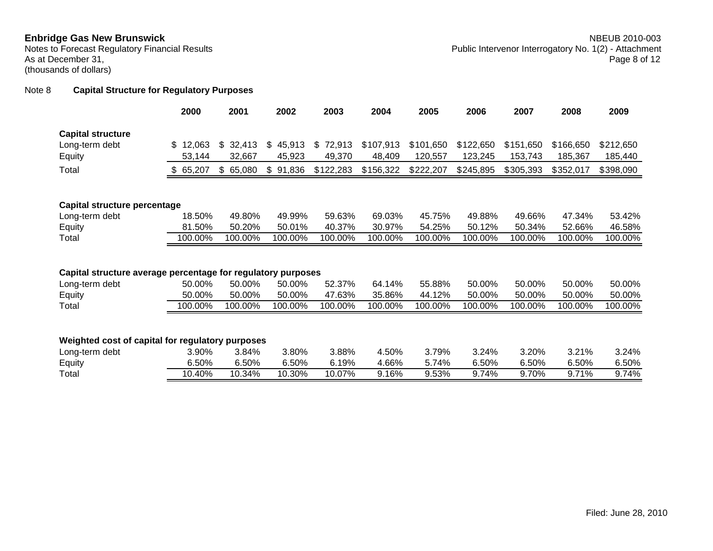# Note 8 **Capital Structure for Regulatory Purposes**

|                                                              | 2000         | 2001         | 2002         | 2003         | 2004      | 2005      | 2006      | 2007      | 2008      | 2009      |
|--------------------------------------------------------------|--------------|--------------|--------------|--------------|-----------|-----------|-----------|-----------|-----------|-----------|
| <b>Capital structure</b>                                     |              |              |              |              |           |           |           |           |           |           |
| Long-term debt                                               | 12,063<br>\$ | 32,413<br>\$ | \$<br>45,913 | \$<br>72,913 | \$107,913 | \$101,650 | \$122,650 | \$151,650 | \$166,650 | \$212,650 |
| Equity                                                       | 53,144       | 32,667       | 45,923       | 49,370       | 48,409    | 120,557   | 123,245   | 153,743   | 185,367   | 185,440   |
| Total                                                        | \$65,207     | \$65,080     | \$<br>91,836 | \$122,283    | \$156,322 | \$222,207 | \$245,895 | \$305,393 | \$352,017 | \$398,090 |
|                                                              |              |              |              |              |           |           |           |           |           |           |
|                                                              |              |              |              |              |           |           |           |           |           |           |
| Capital structure percentage                                 |              |              |              |              |           |           |           |           |           |           |
| Long-term debt                                               | 18.50%       | 49.80%       | 49.99%       | 59.63%       | 69.03%    | 45.75%    | 49.88%    | 49.66%    | 47.34%    | 53.42%    |
| Equity                                                       | 81.50%       | 50.20%       | 50.01%       | 40.37%       | 30.97%    | 54.25%    | 50.12%    | 50.34%    | 52.66%    | 46.58%    |
| Total                                                        | 100.00%      | 100.00%      | 100.00%      | 100.00%      | 100.00%   | 100.00%   | 100.00%   | 100.00%   | 100.00%   | 100.00%   |
|                                                              |              |              |              |              |           |           |           |           |           |           |
|                                                              |              |              |              |              |           |           |           |           |           |           |
| Capital structure average percentage for regulatory purposes |              |              |              |              |           |           |           |           |           |           |
| Long-term debt                                               | 50.00%       | 50.00%       | 50.00%       | 52.37%       | 64.14%    | 55.88%    | 50.00%    | 50.00%    | 50.00%    | 50.00%    |
| Equity                                                       | 50.00%       | 50.00%       | 50.00%       | 47.63%       | 35.86%    | 44.12%    | 50.00%    | 50.00%    | 50.00%    | 50.00%    |
| Total                                                        | 100.00%      | 100.00%      | 100.00%      | 100.00%      | 100.00%   | 100.00%   | 100.00%   | 100.00%   | 100.00%   | 100.00%   |
|                                                              |              |              |              |              |           |           |           |           |           |           |
|                                                              |              |              |              |              |           |           |           |           |           |           |
| Weighted cost of capital for regulatory purposes             |              |              |              |              |           |           |           |           |           |           |
| Long-term debt                                               | 3.90%        | 3.84%        | 3.80%        | 3.88%        | 4.50%     | 3.79%     | 3.24%     | 3.20%     | 3.21%     | 3.24%     |
| Equity                                                       | 6.50%        | 6.50%        | 6.50%        | 6.19%        | 4.66%     | 5.74%     | 6.50%     | 6.50%     | 6.50%     | 6.50%     |
| Total                                                        | 10.40%       | 10.34%       | 10.30%       | 10.07%       | 9.16%     | 9.53%     | 9.74%     | 9.70%     | 9.71%     | 9.74%     |
|                                                              |              |              |              |              |           |           |           |           |           |           |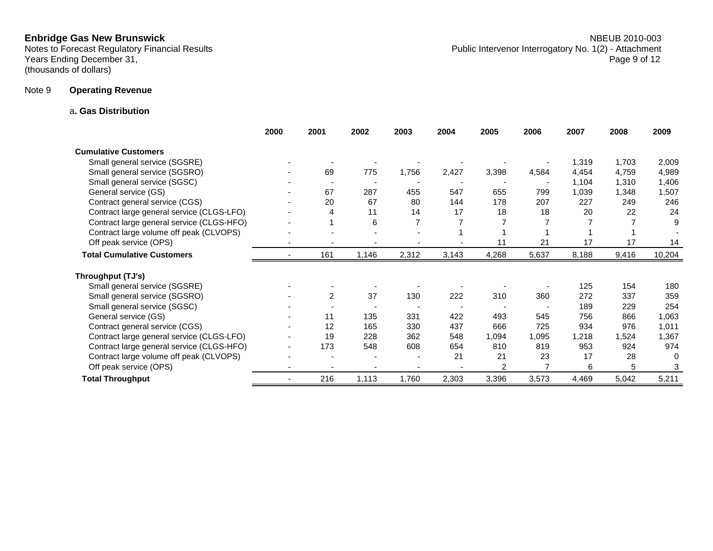Years Ending December 31, Page 9 of 12 (thousands of dollars)

### a**. Gas Distribution**

|                                           | 2000           | 2001           | 2002  | 2003  | 2004  | 2005  | 2006  | 2007  | 2008  | 2009   |
|-------------------------------------------|----------------|----------------|-------|-------|-------|-------|-------|-------|-------|--------|
| <b>Cumulative Customers</b>               |                |                |       |       |       |       |       |       |       |        |
| Small general service (SGSRE)             |                |                |       |       |       |       |       | 1,319 | 1,703 | 2,009  |
| Small general service (SGSRO)             |                | 69             | 775   | 1,756 | 2,427 | 3,398 | 4,584 | 4,454 | 4,759 | 4,989  |
| Small general service (SGSC)              |                |                |       |       |       |       |       | 1,104 | 1,310 | 1,406  |
| General service (GS)                      |                | 67             | 287   | 455   | 547   | 655   | 799   | 1,039 | 1,348 | 1,507  |
| Contract general service (CGS)            |                | 20             | 67    | 80    | 144   | 178   | 207   | 227   | 249   | 246    |
| Contract large general service (CLGS-LFO) |                | 4              | 11    | 14    | 17    | 18    | 18    | 20    | 22    | 24     |
| Contract large general service (CLGS-HFO) |                |                | 6     | 7     |       |       |       |       |       | 9      |
| Contract large volume off peak (CLVOPS)   |                |                |       |       |       |       |       |       |       |        |
| Off peak service (OPS)                    |                |                |       |       |       | 11    | 21    | 17    | 17    | 14     |
| <b>Total Cumulative Customers</b>         |                | 161            | 1,146 | 2,312 | 3,143 | 4,268 | 5,637 | 8,188 | 9,416 | 10,204 |
| Throughput (TJ's)                         |                |                |       |       |       |       |       |       |       |        |
| Small general service (SGSRE)             |                |                |       |       |       |       |       | 125   | 154   | 180    |
| Small general service (SGSRO)             |                | $\overline{2}$ | 37    | 130   | 222   | 310   | 360   | 272   | 337   | 359    |
| Small general service (SGSC)              |                |                |       |       |       |       |       | 189   | 229   | 254    |
| General service (GS)                      |                | 11             | 135   | 331   | 422   | 493   | 545   | 756   | 866   | 1,063  |
| Contract general service (CGS)            |                | 12             | 165   | 330   | 437   | 666   | 725   | 934   | 976   | 1,011  |
| Contract large general service (CLGS-LFO) |                | 19             | 228   | 362   | 548   | 1,094 | 1,095 | 1,218 | 1,524 | 1,367  |
| Contract large general service (CLGS-HFO) |                | 173            | 548   | 608   | 654   | 810   | 819   | 953   | 924   | 974    |
| Contract large volume off peak (CLVOPS)   |                |                |       |       | 21    | 21    | 23    | 17    | 28    |        |
| Off peak service (OPS)                    |                |                |       |       |       | 2     |       | 6     | 5     | 3      |
| <b>Total Throughput</b>                   | $\blacksquare$ | 216            | 1,113 | 1,760 | 2,303 | 3,396 | 3,573 | 4,469 | 5,042 | 5,211  |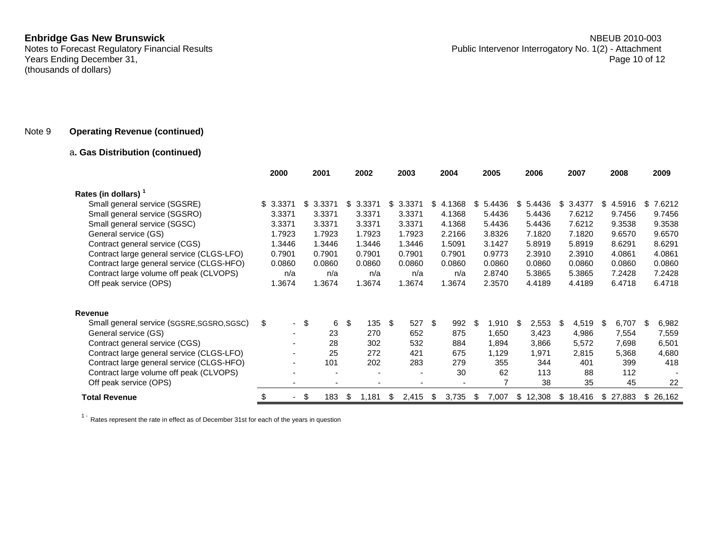Years Ending December 31, (thousands of dollars)

## Note 9 **Operating Revenue (continued)**

## <sup>a</sup>**. Gas Distribution (continued)**

|                                            | 2000                     | 2001         |    | 2002   |     | 2003   |   | 2004                     |    | 2005   |    | 2006   |     | 2007   |     | 2008   |     | 2009   |
|--------------------------------------------|--------------------------|--------------|----|--------|-----|--------|---|--------------------------|----|--------|----|--------|-----|--------|-----|--------|-----|--------|
| Rates (in dollars)                         |                          |              |    |        |     |        |   |                          |    |        |    |        |     |        |     |        |     |        |
| Small general service (SGSRE)              | \$3.3371                 | \$<br>3.3371 | \$ | 3.3371 | \$  | 3.3371 |   | \$4.1368                 | S. | 5.4436 | \$ | 5.4436 | \$  | 3.4377 | \$  | 4.5916 | \$  | 7.6212 |
| Small general service (SGSRO)              | 3.3371                   | 3.3371       |    | 3.3371 |     | 3.3371 |   | 4.1368                   |    | 5.4436 |    | 5.4436 |     | 7.6212 |     | 9.7456 |     | 9.7456 |
| Small general service (SGSC)               | 3.3371                   | 3.3371       |    | 3.3371 |     | 3.3371 |   | 4.1368                   |    | 5.4436 |    | 5.4436 |     | 7.6212 |     | 9.3538 |     | 9.3538 |
| General service (GS)                       | 1.7923                   | 1.7923       |    | 1.7923 |     | 1.7923 |   | 2.2166                   |    | 3.8326 |    | 7.1820 |     | 7.1820 |     | 9.6570 |     | 9.6570 |
| Contract general service (CGS)             | 1.3446                   | 1.3446       |    | 1.3446 |     | 1.3446 |   | 1.5091                   |    | 3.1427 |    | 5.8919 |     | 5.8919 |     | 8.6291 |     | 8.6291 |
| Contract large general service (CLGS-LFO)  | 0.7901                   | 0.7901       |    | 0.7901 |     | 0.7901 |   | 0.7901                   |    | 0.9773 |    | 2.3910 |     | 2.3910 |     | 4.0861 |     | 4.0861 |
| Contract large general service (CLGS-HFO)  | 0.0860                   | 0.0860       |    | 0.0860 |     | 0.0860 |   | 0.0860                   |    | 0.0860 |    | 0.0860 |     | 0.0860 |     | 0.0860 |     | 0.0860 |
| Contract large volume off peak (CLVOPS)    | n/a                      | n/a          |    | n/a    |     | n/a    |   | n/a                      |    | 2.8740 |    | 5.3865 |     | 5.3865 |     | 7.2428 |     | 7.2428 |
| Off peak service (OPS)                     | 1.3674                   | 1.3674       |    | 1.3674 |     | 1.3674 |   | 1.3674                   |    | 2.3570 |    | 4.4189 |     | 4.4189 |     | 6.4718 |     | 6.4718 |
| <b>Revenue</b>                             |                          |              |    |        |     |        |   |                          |    |        |    |        |     |        |     |        |     |        |
| Small general service (SGSRE, SGSRO, SGSC) | \$<br>$\sim$             | \$<br>6      | \$ | 135    | -\$ | 527 \$ |   | 992                      | \$ | 1,910  | \$ | 2,553  | \$. | 4,519  | -\$ | 6,707  | -\$ | 6,982  |
| General service (GS)                       | $\overline{\phantom{0}}$ | 23           |    | 270    |     | 652    |   | 875                      |    | 1,650  |    | 3,423  |     | 4,986  |     | 7,554  |     | 7,559  |
| Contract general service (CGS)             |                          | 28           |    | 302    |     | 532    |   | 884                      |    | 1,894  |    | 3,866  |     | 5,572  |     | 7,698  |     | 6,501  |
| Contract large general service (CLGS-LFO)  |                          | 25           |    | 272    |     | 421    |   | 675                      |    | 1,129  |    | 1,971  |     | 2,815  |     | 5,368  |     | 4,680  |
| Contract large general service (CLGS-HFO)  | $\overline{\phantom{a}}$ | 101          |    | 202    |     | 283    |   | 279                      |    | 355    |    | 344    |     | 401    |     | 399    |     | 418    |
| Contract large volume off peak (CLVOPS)    |                          |              |    |        |     |        |   | 30                       |    | 62     |    | 113    |     | 88     |     | 112    |     |        |
| Off peak service (OPS)                     |                          | ٠            |    | ٠      |     |        |   | $\overline{\phantom{a}}$ |    | 7      |    | 38     |     | 35     |     | 45     |     | 22     |
| <b>Total Revenue</b>                       |                          | - \$<br>183  | S  | 1,181  | \$  | 2,415  | S | 3,735                    | S  | 7,007  | S. | 12,308 | S.  | 18,416 | S   | 27,883 | S   | 26,162 |

 $1 -$  Rates represent the rate in effect as of December 31st for each of the years in question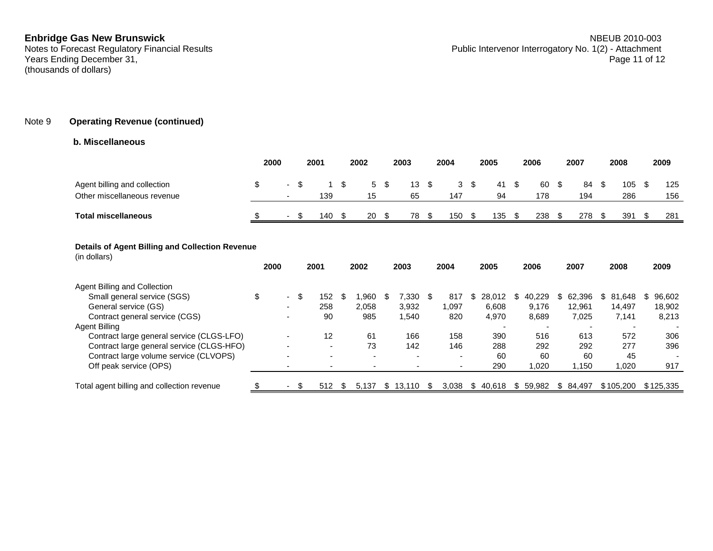Years Ending December 31, (thousands of dollars)

## Note 9 **Operating Revenue (continued)**

### **b. Miscellaneous**

|                                                             | 2000 |                          | 2001 |     | 2002 |    | 2003 |    |       | 2004        |  | 2005     |      | 2006      |      | 2007      |  | 2008       |  | 2009       |
|-------------------------------------------------------------|------|--------------------------|------|-----|------|----|------|----|-------|-------------|--|----------|------|-----------|------|-----------|--|------------|--|------------|
| Agent billing and collection<br>Other miscellaneous revenue |      | $\overline{\phantom{a}}$ |      | 139 |      | 15 | 5 \$ | 65 | 13 \$ | 3 \$<br>147 |  | 41<br>94 | - \$ | 60<br>178 | - \$ | 84<br>194 |  | 105<br>286 |  | 125<br>156 |
| <b>Total miscellaneous</b>                                  |      | $\sim$                   |      | 140 |      | 20 |      | 78 |       | 150         |  | 135      |      | 238       |      | 278       |  | 391        |  | 281        |

### **Details of Agent Billing and Collection Revenue**

| (in dollars)                               |   | 2000                     |     | 2001 |      | 2002                     |    | 2003                     |      | 2004                     |     | 2005   |    | 2006                     |  | 2007      |   | 2008      |   | 2009      |  |
|--------------------------------------------|---|--------------------------|-----|------|------|--------------------------|----|--------------------------|------|--------------------------|-----|--------|----|--------------------------|--|-----------|---|-----------|---|-----------|--|
| Agent Billing and Collection               |   |                          |     |      |      |                          |    |                          |      |                          |     |        |    |                          |  |           |   |           |   |           |  |
| Small general service (SGS)                | ა | $\overline{\phantom{a}}$ | \$  | 152  | -\$  | .960                     |    | 330.'                    | - \$ | 817                      | \$. | 28.012 | S. | 40.229                   |  | 62,396    | S | 81,648    | S | 96,602    |  |
| General service (GS)                       |   | -                        |     | 258  |      | 2,058                    |    | 3,932                    |      | 1.097                    |     | 6,608  |    | 9.176                    |  | 12,961    |   | 14.497    |   | 18,902    |  |
| Contract general service (CGS)             |   |                          |     | 90   |      | 985                      |    | .540                     |      | 820                      |     | 4,970  |    | 8,689                    |  | 7,025     |   | 7,141     |   | 8,213     |  |
| Agent Billing                              |   |                          |     |      |      |                          |    |                          |      |                          |     |        |    | $\overline{\phantom{a}}$ |  |           |   |           |   |           |  |
| Contract large general service (CLGS-LFO)  |   |                          |     | 12   |      | 61                       |    | 166                      |      | 158                      |     | 390    |    | 516                      |  | 613       |   | 572       |   | 306       |  |
| Contract large general service (CLGS-HFO)  |   |                          |     | -    |      | 73                       |    | 142                      |      | 146                      |     | 288    |    | 292                      |  | 292       |   | 277       |   | 396       |  |
| Contract large volume service (CLVOPS)     |   |                          |     |      |      | $\overline{\phantom{0}}$ |    | $\overline{\phantom{a}}$ |      | $\overline{\phantom{0}}$ |     | 60     |    | 60                       |  | 60        |   | 45        |   | -         |  |
| Off peak service (OPS)                     |   |                          |     |      |      |                          |    |                          |      |                          |     | 290    |    | 1,020                    |  | 1,150     |   | 1,020     |   | 917       |  |
| Total agent billing and collection revenue |   |                          | \$. | 512  | - \$ | 5.137                    | S. | 13.110                   |      | 3.038                    | S   | 40.618 |    | \$59.982                 |  | \$ 84.497 |   | \$105.200 |   | \$125.335 |  |